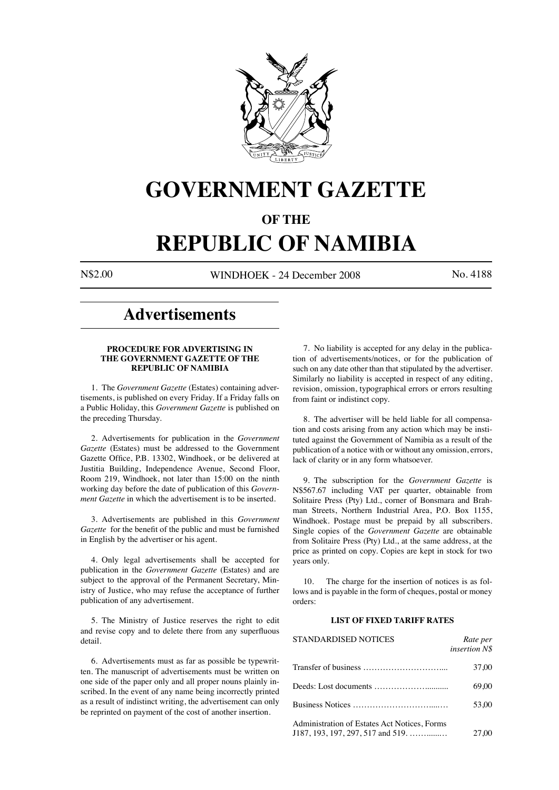

# **GOVERNMENT GAZETTE**

# **OF THE**

# **REPUBLIC OF NAMIBIA**

N\$2.00 WINDHOEK - 24 December 2008 No. 4188

# **Advertisements**

#### **PROCEDURE FOR ADVERTISING IN THE GOVERNMENT GAZETTE OF THE REPUBLIC OF NAMIBIA**

1. The *Government Gazette* (Estates) containing advertisements, is published on every Friday. If a Friday falls on a Public Holiday, this *Government Gazette* is published on the preceding Thursday.

2. Advertisements for publication in the *Government Gazette* (Estates) must be addressed to the Government Gazette Office, P.B. 13302, Windhoek, or be delivered at Justitia Building, Independence Avenue, Second Floor, Room 219, Windhoek, not later than 15:00 on the ninth working day before the date of publication of this *Government Gazette* in which the advertisement is to be inserted.

3. Advertisements are published in this *Government Gazette* for the benefit of the public and must be furnished in English by the advertiser or his agent.

4. Only legal advertisements shall be accepted for publication in the *Government Gazette* (Estates) and are subject to the approval of the Permanent Secretary, Ministry of Justice, who may refuse the acceptance of further publication of any advertisement.

5. The Ministry of Justice reserves the right to edit and revise copy and to delete there from any superfluous detail.

6. Advertisements must as far as possible be typewritten. The manuscript of advertisements must be written on one side of the paper only and all proper nouns plainly inscribed. In the event of any name being incorrectly printed as a result of indistinct writing, the advertisement can only be reprinted on payment of the cost of another insertion.

7. No liability is accepted for any delay in the publication of advertisements/notices, or for the publication of such on any date other than that stipulated by the advertiser. Similarly no liability is accepted in respect of any editing, revision, omission, typographical errors or errors resulting from faint or indistinct copy.

8. The advertiser will be held liable for all compensation and costs arising from any action which may be instituted against the Government of Namibia as a result of the publication of a notice with or without any omission, errors, lack of clarity or in any form whatsoever.

9. The subscription for the *Government Gazette* is N\$567.67 including VAT per quarter, obtainable from Solitaire Press (Pty) Ltd., corner of Bonsmara and Brahman Streets, Northern Industrial Area, P.O. Box 1155, Windhoek. Postage must be prepaid by all subscribers. Single copies of the *Government Gazette* are obtainable from Solitaire Press (Pty) Ltd., at the same address, at the price as printed on copy. Copies are kept in stock for two years only.

10. The charge for the insertion of notices is as follows and is payable in the form of cheques, postal or money orders:

### **LIST OF FIXED TARIFF RATES**

| <b>STANDARDISED NOTICES</b>                                                           | Rate per<br>insertion N\$ |
|---------------------------------------------------------------------------------------|---------------------------|
|                                                                                       | 37.00                     |
|                                                                                       | 69.00                     |
|                                                                                       | 53.00                     |
| Administration of Estates Act Notices, Forms<br>$J187, 193, 197, 297, 517$ and $519,$ | 27.00                     |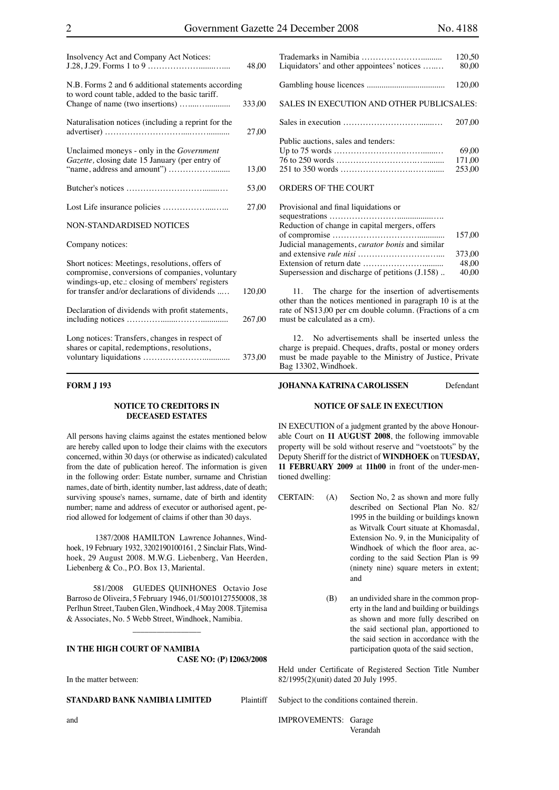| Insolvency Act and Company Act Notices:                                                                                                                | 48,00  |
|--------------------------------------------------------------------------------------------------------------------------------------------------------|--------|
| N.B. Forms 2 and 6 additional statements according<br>to word count table, added to the basic tariff.                                                  | 333,00 |
| Naturalisation notices (including a reprint for the                                                                                                    | 27,00  |
| Unclaimed moneys - only in the Government<br>Gazette, closing date 15 January (per entry of                                                            | 13,00  |
|                                                                                                                                                        | 53,00  |
|                                                                                                                                                        | 27,00  |
| <b>NON-STANDARDISED NOTICES</b>                                                                                                                        |        |
| Company notices:                                                                                                                                       |        |
| Short notices: Meetings, resolutions, offers of<br>compromise, conversions of companies, voluntary<br>windings-up, etc.: closing of members' registers |        |
| for transfer and/or declarations of dividends                                                                                                          | 120.00 |
| Declaration of dividends with profit statements,                                                                                                       | 267,00 |

| Long notices: Transfers, changes in respect of |        |
|------------------------------------------------|--------|
| shares or capital, redemptions, resolutions,   |        |
|                                                | 373,00 |

# **FORM J 193**

#### **NOTICE TO CREDITORS IN DECEASED ESTATES**

All persons having claims against the estates mentioned below are hereby called upon to lodge their claims with the executors concerned, within 30 days (or otherwise as indicated) calculated from the date of publication hereof. The information is given in the following order: Estate number, surname and Christian names, date of birth, identity number, last address, date of death; surviving spouse's names, surname, date of birth and identity number; name and address of executor or authorised agent, period allowed for lodgement of claims if other than 30 days.

 1387/2008 HAMILTON Lawrence Johannes, Windhoek, 19 February 1932, 3202190100161, 2 Sinclair Flats, Windhoek, 29 August 2008. M.W.G. Liebenberg, Van Heerden, Liebenberg & Co., P.O. Box 13, Mariental.

581/2008 GUEDES QUINHONES Octavio Jose Barroso de Oliveira, 5 February 1946, 01/50010127550008, 38 Perlhun Street, Tauben Glen, Windhoek, 4 May 2008. Tjitemisa & Associates, No. 5 Webb Street, Windhoek, Namibia.

 $\overline{\phantom{a}}$  , which is a set of the set of the set of the set of the set of the set of the set of the set of the set of the set of the set of the set of the set of the set of the set of the set of the set of the set of th

#### **IN THE HIGH COURT OF NAMIBIA CASE NO: (P) I2063/2008**

In the matter between:

**STANDARD BANK NAMIBIA LIMITED** Plaintiff

|                                            | 120.50 |
|--------------------------------------------|--------|
| Liquidators' and other appointees' notices | 80.00  |
|                                            |        |
|                                            | 120.00 |
| SALES IN EXECUTION AND OTHER PUBLICSALES:  |        |
|                                            | 207.00 |
| Public auctions, sales and tenders:        |        |
|                                            | 69.00  |
|                                            | 171,00 |
|                                            | 253.00 |

#### ORDERS OF THE COURT

| Provisional and final liquidations or                                |        |
|----------------------------------------------------------------------|--------|
|                                                                      |        |
| Reduction of change in capital mergers, offers                       |        |
|                                                                      | 157.00 |
| Judicial managements, <i>curator bonis</i> and similar               |        |
|                                                                      | 373.00 |
| Extension of return date $\dots \dots \dots \dots \dots \dots \dots$ | 48.00  |
| Supersession and discharge of petitions (J.158)                      | 40.00  |

11. The charge for the insertion of advertisements other than the notices mentioned in paragraph 10 is at the rate of N\$13,00 per cm double column. (Fractions of a cm must be calculated as a cm).

12. No advertisements shall be inserted unless the charge is prepaid. Cheques, drafts, postal or money orders must be made payable to the Ministry of Justice, Private Bag 13302, Windhoek.

### **JOHANNA KATRINA CAROLISSEN** Defendant

#### **NOTICE OF SALE IN EXECUTION**

IN EXECUTION of a judgment granted by the above Honourable Court on **11 AUGUST 2008**, the following immovable property will be sold without reserve and "voetstoots" by the Deputy Sheriff for the district of **WINDHOEK** on T**UESDAY, 11 FEBRUARY 2009** at **11h00** in front of the under-mentioned dwelling:

- CERTAIN: (A) Section No, 2 as shown and more fully described on Sectional Plan No. 82/ 1995 in the building or buildings known as Witvalk Court situate at Khomasdal, Extension No. 9, in the Municipality of Windhoek of which the floor area, according to the said Section Plan is 99 (ninety nine) square meters in extent; and
	- (B) an undivided share in the common property in the land and building or buildings as shown and more fully described on the said sectional plan, apportioned to the said section in accordance with the participation quota of the said section,

Held under Certificate of Registered Section Title Number 82/1995(2)(unit) dated 20 July 1995.

Subject to the conditions contained therein.

IMPROVEMENTS: Garage Verandah

and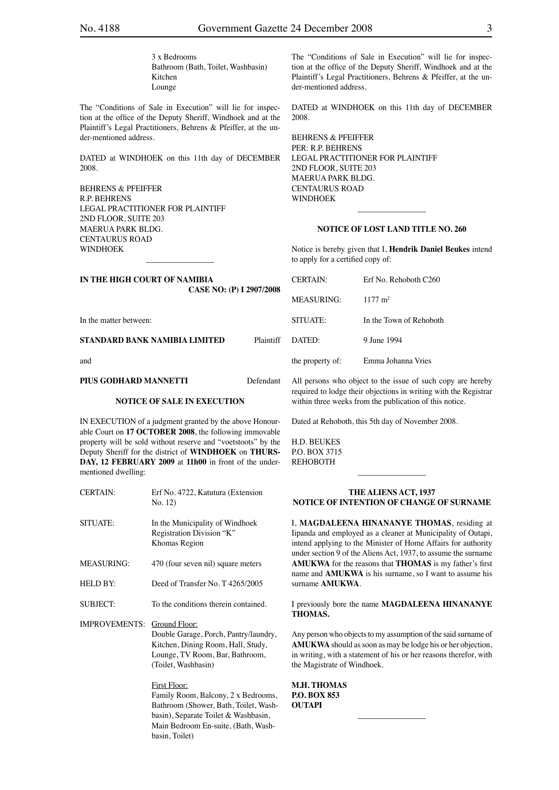3 x Bedrooms Bathroom (Bath, Toilet, Washbasin) Kitchen Lounge

The "Conditions of Sale in Execution" will lie for inspection at the office of the Deputy Sheriff, Windhoek and at the Plaintiff's Legal Practitioners, Behrens & Pfeiffer, at the under-mentioned address.

DATED at WINDHOEK on this 11th day of DECEMBER 2008.

BEHRENS & PFEIFFER R.P. BEHRENS LEGAL PRACTITIONER FOR PLAINTIFF 2ND FLOOR, SUITE 203 MAERUA PARK BLDG. CENTAURUS ROAD **WINDHOFK** 

**IN THE HIGH COURT OF NAMIBIA CASE NO: (P) I 2907/2008**

\_\_\_\_\_\_\_\_\_\_\_\_\_\_\_\_\_

In the matter between:

# **STANDARD BANK NAMIBIA LIMITED** Plaintiff

and

#### **PIUS GODHARD MANNETTI** Defendant

#### **NOTICE OF SALE IN EXECUTION**

IN EXECUTION of a judgment granted by the above Honourable Court on **17 OCTOBER 2008**, the following immovable property will be sold without reserve and "voetstoots" by the Deputy Sheriff for the district of **WINDHOEK** on **THURS-DAY, 12 FEBRUARY 2009** at **11h00** in front of the undermentioned dwelling:

CERTAIN: Erf No. 4722, Katutura (Extension No. 12) SITUATE: In the Municipality of Windhoek Registration Division "K" Khomas Region MEASURING: 470 (four seven nil) square meters HELD BY: Deed of Transfer No. T 4265/2005 SUBJECT: To the conditions therein contained. IMPROVEMENTS: Ground Floor: Double Garage, Porch, Pantry/laundry, Kitchen, Dining Room, Hall, Study, Lounge, TV Room, Bar, Bathroom, (Toilet, Washbasin) First Floor: Family Room, Balcony, 2 x Bedrooms,

Bathroom (Shower, Bath, Toilet, Washbasin), Separate Toilet & Washbasin, Main Bedroom En-suite, (Bath, Washbasin, Toilet)

The "Conditions of Sale in Execution" will lie for inspection at the office of the Deputy Sheriff, Windhoek and at the Plaintiff's Legal Practitioners, Behrens & Pfeiffer, at the under-mentioned address.

DATED at WINDHOEK on this 11th day of DECEMBER 2008.

BEHRENS & PFEIFFER PER: R.P. BEHRENS LEGAL PRACTITIONER FOR PLAINTIFF 2ND FLOOR, SUITE 203 MAERUA PARK BLDG. CENTAURUS ROAD WINDHOEK

#### **NOTICE OF LOST LAND TITLE NO. 260**

 $\overline{\phantom{a}}$  , where  $\overline{\phantom{a}}$ 

Notice is hereby given that I, **Hendrik Daniel Beukes** intend to apply for a certified copy of:

| <b>CERTAIN:</b>  | Erf No. Rehoboth C260   |
|------------------|-------------------------|
| MEASURING:       | $1177 \text{ m}^2$      |
| SITUATE:         | In the Town of Rehoboth |
| DATED:           | 9 Iune 1994             |
| the property of: | Emma Johanna Vries      |

All persons who object to the issue of such copy are hereby required to lodge their objections in writing with the Registrar within three weeks from the publication of this notice.

Dated at Rehoboth, this 5th day of November 2008.

H.D. BEUKES P.O. BOX 3715 **REHOROTH** 

#### **THE ALIENS ACT, 1937 NOTICE OF INTENTION OF CHANGE OF SURNAME**

 $\overline{\phantom{a}}$  , where the contract of the contract of the contract of the contract of the contract of the contract of the contract of the contract of the contract of the contract of the contract of the contract of the contr

I, **MAGDALEENA HINANANYE THOMAS**, residing at Iipanda and employed as a cleaner at Municipality of Outapi, intend applying to the Minister of Home Affairs for authority under section 9 of the Aliens Act, 1937, to assume the surname **AMUKWA** for the reasons that **THOMAS** is my father's first name and **AMUKWA** is his surname, so I want to assume his surname **AMUKWA**.

I previously bore the name **MAGDALEENA HINANANYE THOMAS.**

Any person who objects to my assumption of the said surname of **AMUKWA** should as soon as may be lodge his or her objection, in writing, with a statement of his or her reasons therefor, with the Magistrate of Windhoek.

\_\_\_\_\_\_\_\_\_\_\_\_\_\_\_\_\_

**M.H. THOMAS P.O. BOX 853 OUTAPI**